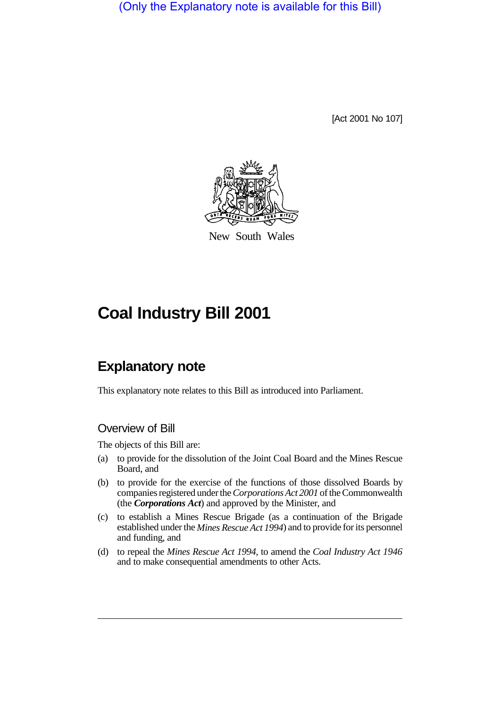(Only the Explanatory note is available for this Bill)

[Act 2001 No 107]



New South Wales

# **Coal Industry Bill 2001**

# **Explanatory note**

This explanatory note relates to this Bill as introduced into Parliament.

#### Overview of Bill

The objects of this Bill are:

- (a) to provide for the dissolution of the Joint Coal Board and the Mines Rescue Board, and
- (b) to provide for the exercise of the functions of those dissolved Boards by companies registered under the *Corporations Act 2001* of the Commonwealth (the *Corporations Act*) and approved by the Minister, and
- (c) to establish a Mines Rescue Brigade (as a continuation of the Brigade established under the *Mines Rescue Act 1994*) and to provide for its personnel and funding, and
- (d) to repeal the *Mines Rescue Act 1994*, to amend the *Coal Industry Act 1946* and to make consequential amendments to other Acts.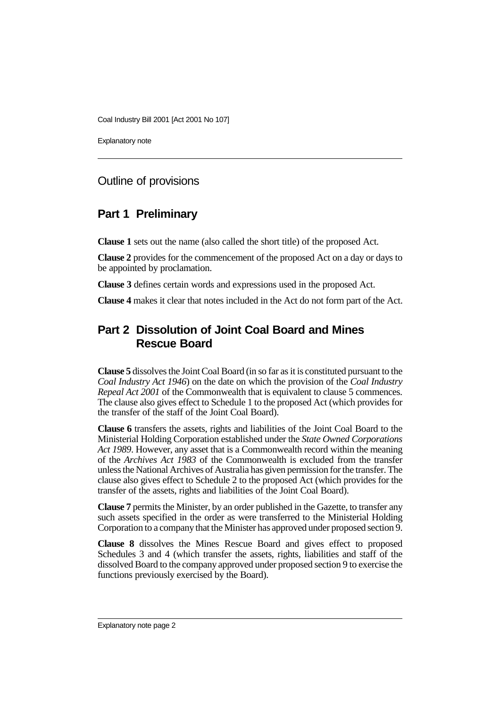Explanatory note

### Outline of provisions

# **Part 1 Preliminary**

**Clause 1** sets out the name (also called the short title) of the proposed Act.

**Clause 2** provides for the commencement of the proposed Act on a day or days to be appointed by proclamation.

**Clause 3** defines certain words and expressions used in the proposed Act.

**Clause 4** makes it clear that notes included in the Act do not form part of the Act.

# **Part 2 Dissolution of Joint Coal Board and Mines Rescue Board**

**Clause 5** dissolves the Joint Coal Board (in so far as it is constituted pursuant to the *Coal Industry Act 1946*) on the date on which the provision of the *Coal Industry Repeal Act 2001* of the Commonwealth that is equivalent to clause 5 commences. The clause also gives effect to Schedule 1 to the proposed Act (which provides for the transfer of the staff of the Joint Coal Board).

**Clause 6** transfers the assets, rights and liabilities of the Joint Coal Board to the Ministerial Holding Corporation established under the *State Owned Corporations Act 1989*. However, any asset that is a Commonwealth record within the meaning of the *Archives Act 1983* of the Commonwealth is excluded from the transfer unless the National Archives of Australia has given permission for the transfer. The clause also gives effect to Schedule 2 to the proposed Act (which provides for the transfer of the assets, rights and liabilities of the Joint Coal Board).

**Clause 7** permits the Minister, by an order published in the Gazette, to transfer any such assets specified in the order as were transferred to the Ministerial Holding Corporation to a company that the Minister has approved under proposed section 9.

**Clause 8** dissolves the Mines Rescue Board and gives effect to proposed Schedules 3 and 4 (which transfer the assets, rights, liabilities and staff of the dissolved Board to the company approved under proposed section 9 to exercise the functions previously exercised by the Board).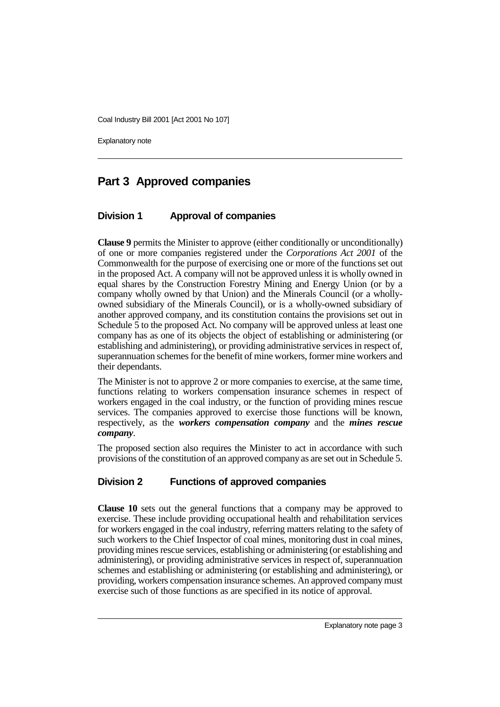Explanatory note

# **Part 3 Approved companies**

#### **Division 1 Approval of companies**

**Clause 9** permits the Minister to approve (either conditionally or unconditionally) of one or more companies registered under the *Corporations Act 2001* of the Commonwealth for the purpose of exercising one or more of the functions set out in the proposed Act. A company will not be approved unless it is wholly owned in equal shares by the Construction Forestry Mining and Energy Union (or by a company wholly owned by that Union) and the Minerals Council (or a whollyowned subsidiary of the Minerals Council), or is a wholly-owned subsidiary of another approved company, and its constitution contains the provisions set out in Schedule 5 to the proposed Act. No company will be approved unless at least one company has as one of its objects the object of establishing or administering (or establishing and administering), or providing administrative services in respect of, superannuation schemes for the benefit of mine workers, former mine workers and their dependants.

The Minister is not to approve 2 or more companies to exercise, at the same time, functions relating to workers compensation insurance schemes in respect of workers engaged in the coal industry, or the function of providing mines rescue services. The companies approved to exercise those functions will be known, respectively, as the *workers compensation company* and the *mines rescue company*.

The proposed section also requires the Minister to act in accordance with such provisions of the constitution of an approved company as are set out in Schedule 5.

#### **Division 2 Functions of approved companies**

**Clause 10** sets out the general functions that a company may be approved to exercise. These include providing occupational health and rehabilitation services for workers engaged in the coal industry, referring matters relating to the safety of such workers to the Chief Inspector of coal mines, monitoring dust in coal mines, providing mines rescue services, establishing or administering (or establishing and administering), or providing administrative services in respect of, superannuation schemes and establishing or administering (or establishing and administering), or providing, workers compensation insurance schemes. An approved company must exercise such of those functions as are specified in its notice of approval.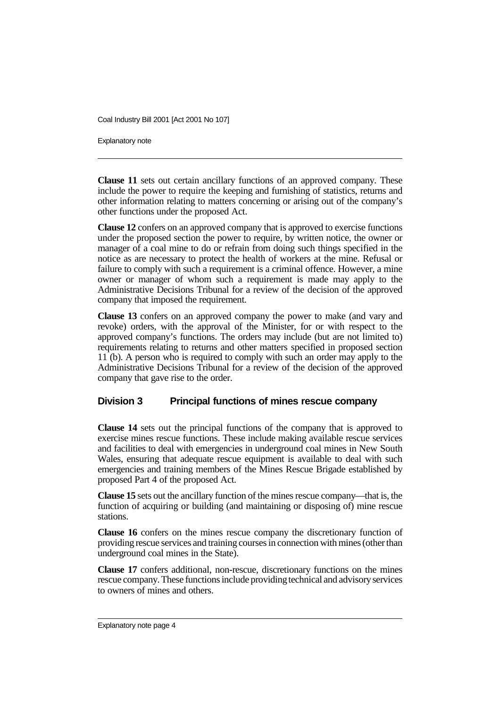Explanatory note

**Clause 11** sets out certain ancillary functions of an approved company. These include the power to require the keeping and furnishing of statistics, returns and other information relating to matters concerning or arising out of the company's other functions under the proposed Act.

**Clause 12** confers on an approved company that is approved to exercise functions under the proposed section the power to require, by written notice, the owner or manager of a coal mine to do or refrain from doing such things specified in the notice as are necessary to protect the health of workers at the mine. Refusal or failure to comply with such a requirement is a criminal offence. However, a mine owner or manager of whom such a requirement is made may apply to the Administrative Decisions Tribunal for a review of the decision of the approved company that imposed the requirement.

**Clause 13** confers on an approved company the power to make (and vary and revoke) orders, with the approval of the Minister, for or with respect to the approved company's functions. The orders may include (but are not limited to) requirements relating to returns and other matters specified in proposed section 11 (b). A person who is required to comply with such an order may apply to the Administrative Decisions Tribunal for a review of the decision of the approved company that gave rise to the order.

#### **Division 3 Principal functions of mines rescue company**

**Clause 14** sets out the principal functions of the company that is approved to exercise mines rescue functions. These include making available rescue services and facilities to deal with emergencies in underground coal mines in New South Wales, ensuring that adequate rescue equipment is available to deal with such emergencies and training members of the Mines Rescue Brigade established by proposed Part 4 of the proposed Act.

**Clause 15** sets out the ancillary function of the mines rescue company—that is, the function of acquiring or building (and maintaining or disposing of) mine rescue stations.

**Clause 16** confers on the mines rescue company the discretionary function of providing rescue services and training courses in connection with mines (other than underground coal mines in the State).

**Clause 17** confers additional, non-rescue, discretionary functions on the mines rescue company. These functions include providing technical and advisory services to owners of mines and others.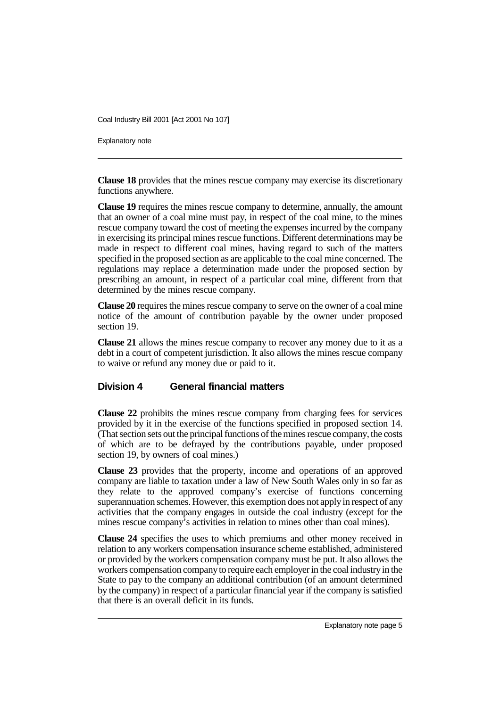Explanatory note

**Clause 18** provides that the mines rescue company may exercise its discretionary functions anywhere.

**Clause 19** requires the mines rescue company to determine, annually, the amount that an owner of a coal mine must pay, in respect of the coal mine, to the mines rescue company toward the cost of meeting the expenses incurred by the company in exercising its principal mines rescue functions. Different determinations may be made in respect to different coal mines, having regard to such of the matters specified in the proposed section as are applicable to the coal mine concerned. The regulations may replace a determination made under the proposed section by prescribing an amount, in respect of a particular coal mine, different from that determined by the mines rescue company.

**Clause 20** requires the mines rescue company to serve on the owner of a coal mine notice of the amount of contribution payable by the owner under proposed section 19.

**Clause 21** allows the mines rescue company to recover any money due to it as a debt in a court of competent jurisdiction. It also allows the mines rescue company to waive or refund any money due or paid to it.

#### **Division 4 General financial matters**

**Clause 22** prohibits the mines rescue company from charging fees for services provided by it in the exercise of the functions specified in proposed section 14. (That section sets out the principal functions of the mines rescue company, the costs of which are to be defrayed by the contributions payable, under proposed section 19, by owners of coal mines.)

**Clause 23** provides that the property, income and operations of an approved company are liable to taxation under a law of New South Wales only in so far as they relate to the approved company's exercise of functions concerning superannuation schemes. However, this exemption does not apply in respect of any activities that the company engages in outside the coal industry (except for the mines rescue company's activities in relation to mines other than coal mines).

**Clause 24** specifies the uses to which premiums and other money received in relation to any workers compensation insurance scheme established, administered or provided by the workers compensation company must be put. It also allows the workers compensation company to require each employer in the coal industry in the State to pay to the company an additional contribution (of an amount determined by the company) in respect of a particular financial year if the company is satisfied that there is an overall deficit in its funds.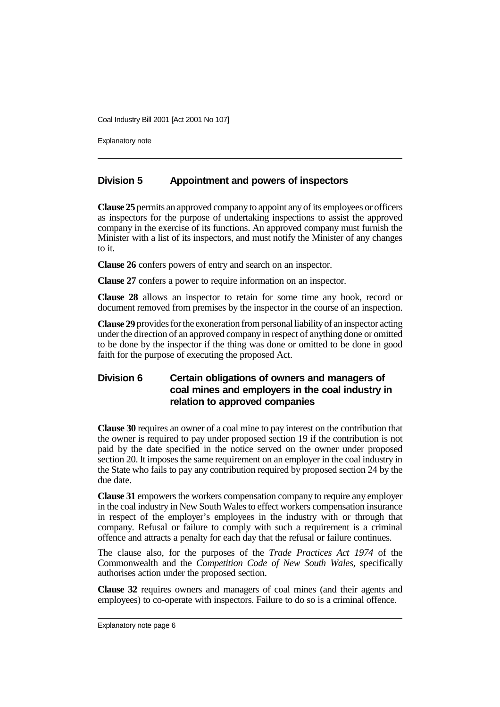Explanatory note

#### **Division 5 Appointment and powers of inspectors**

**Clause 25** permits an approved company to appoint any of its employees or officers as inspectors for the purpose of undertaking inspections to assist the approved company in the exercise of its functions. An approved company must furnish the Minister with a list of its inspectors, and must notify the Minister of any changes to it.

**Clause 26** confers powers of entry and search on an inspector.

**Clause 27** confers a power to require information on an inspector.

**Clause 28** allows an inspector to retain for some time any book, record or document removed from premises by the inspector in the course of an inspection.

**Clause 29** provides for the exoneration from personal liability of an inspector acting under the direction of an approved company in respect of anything done or omitted to be done by the inspector if the thing was done or omitted to be done in good faith for the purpose of executing the proposed Act.

#### **Division 6 Certain obligations of owners and managers of coal mines and employers in the coal industry in relation to approved companies**

**Clause 30** requires an owner of a coal mine to pay interest on the contribution that the owner is required to pay under proposed section 19 if the contribution is not paid by the date specified in the notice served on the owner under proposed section 20. It imposes the same requirement on an employer in the coal industry in the State who fails to pay any contribution required by proposed section 24 by the due date.

**Clause 31** empowers the workers compensation company to require any employer in the coal industry in New South Wales to effect workers compensation insurance in respect of the employer's employees in the industry with or through that company. Refusal or failure to comply with such a requirement is a criminal offence and attracts a penalty for each day that the refusal or failure continues.

The clause also, for the purposes of the *Trade Practices Act 1974* of the Commonwealth and the *Competition Code of New South Wales*, specifically authorises action under the proposed section.

**Clause 32** requires owners and managers of coal mines (and their agents and employees) to co-operate with inspectors. Failure to do so is a criminal offence.

Explanatory note page 6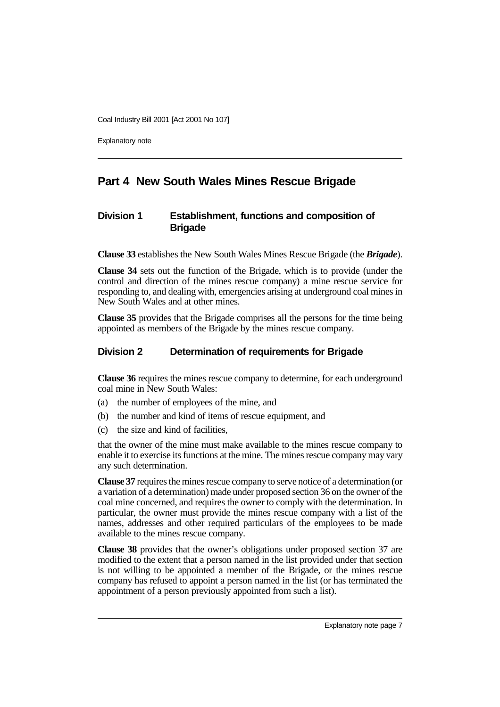Explanatory note

# **Part 4 New South Wales Mines Rescue Brigade**

#### **Division 1 Establishment, functions and composition of Brigade**

**Clause 33** establishes the New South Wales Mines Rescue Brigade (the *Brigade*).

**Clause 34** sets out the function of the Brigade, which is to provide (under the control and direction of the mines rescue company) a mine rescue service for responding to, and dealing with, emergencies arising at underground coal mines in New South Wales and at other mines.

**Clause 35** provides that the Brigade comprises all the persons for the time being appointed as members of the Brigade by the mines rescue company.

#### **Division 2 Determination of requirements for Brigade**

**Clause 36** requires the mines rescue company to determine, for each underground coal mine in New South Wales:

- (a) the number of employees of the mine, and
- (b) the number and kind of items of rescue equipment, and
- (c) the size and kind of facilities,

that the owner of the mine must make available to the mines rescue company to enable it to exercise its functions at the mine. The mines rescue company may vary any such determination.

**Clause 37** requires the mines rescue company to serve notice of a determination (or a variation of a determination) made under proposed section 36 on the owner of the coal mine concerned, and requires the owner to comply with the determination. In particular, the owner must provide the mines rescue company with a list of the names, addresses and other required particulars of the employees to be made available to the mines rescue company.

**Clause 38** provides that the owner's obligations under proposed section 37 are modified to the extent that a person named in the list provided under that section is not willing to be appointed a member of the Brigade, or the mines rescue company has refused to appoint a person named in the list (or has terminated the appointment of a person previously appointed from such a list).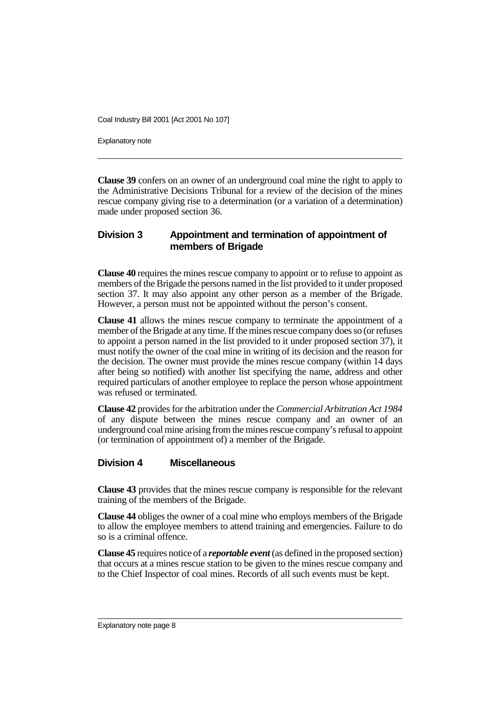Explanatory note

**Clause 39** confers on an owner of an underground coal mine the right to apply to the Administrative Decisions Tribunal for a review of the decision of the mines rescue company giving rise to a determination (or a variation of a determination) made under proposed section 36.

#### **Division 3 Appointment and termination of appointment of members of Brigade**

**Clause 40** requires the mines rescue company to appoint or to refuse to appoint as members of the Brigade the persons named in the list provided to it under proposed section 37. It may also appoint any other person as a member of the Brigade. However, a person must not be appointed without the person's consent.

**Clause 41** allows the mines rescue company to terminate the appointment of a member of the Brigade at any time. If the mines rescue company does so (or refuses to appoint a person named in the list provided to it under proposed section 37), it must notify the owner of the coal mine in writing of its decision and the reason for the decision. The owner must provide the mines rescue company (within 14 days after being so notified) with another list specifying the name, address and other required particulars of another employee to replace the person whose appointment was refused or terminated.

**Clause 42** provides for the arbitration under the *Commercial Arbitration Act 1984* of any dispute between the mines rescue company and an owner of an underground coal mine arising from the mines rescue company's refusal to appoint (or termination of appointment of) a member of the Brigade.

#### **Division 4 Miscellaneous**

**Clause 43** provides that the mines rescue company is responsible for the relevant training of the members of the Brigade.

**Clause 44** obliges the owner of a coal mine who employs members of the Brigade to allow the employee members to attend training and emergencies. Failure to do so is a criminal offence.

**Clause 45** requires notice of a *reportable event* (as defined in the proposed section) that occurs at a mines rescue station to be given to the mines rescue company and to the Chief Inspector of coal mines. Records of all such events must be kept.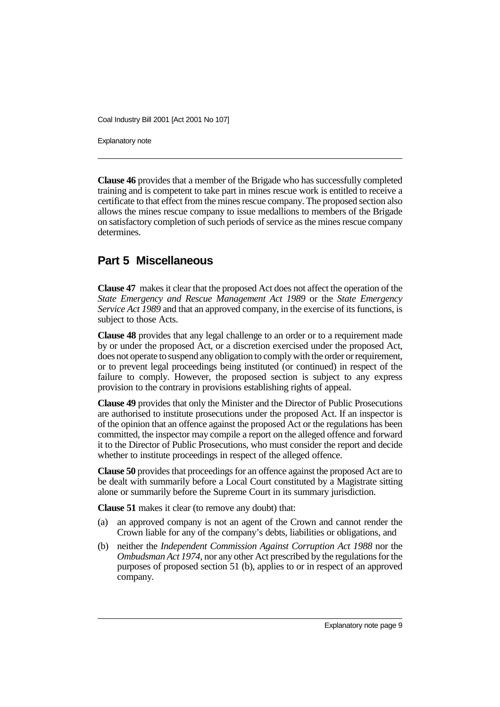Explanatory note

**Clause 46** provides that a member of the Brigade who has successfully completed training and is competent to take part in mines rescue work is entitled to receive a certificate to that effect from the mines rescue company. The proposed section also allows the mines rescue company to issue medallions to members of the Brigade on satisfactory completion of such periods of service as the mines rescue company determines.

# **Part 5 Miscellaneous**

**Clause 47** makes it clear that the proposed Act does not affect the operation of the *State Emergency and Rescue Management Act 1989* or the *State Emergency Service Act 1989* and that an approved company, in the exercise of its functions, is subject to those Acts.

**Clause 48** provides that any legal challenge to an order or to a requirement made by or under the proposed Act, or a discretion exercised under the proposed Act, does not operate to suspend any obligation to comply with the order or requirement, or to prevent legal proceedings being instituted (or continued) in respect of the failure to comply. However, the proposed section is subject to any express provision to the contrary in provisions establishing rights of appeal.

**Clause 49** provides that only the Minister and the Director of Public Prosecutions are authorised to institute prosecutions under the proposed Act. If an inspector is of the opinion that an offence against the proposed Act or the regulations has been committed, the inspector may compile a report on the alleged offence and forward it to the Director of Public Prosecutions, who must consider the report and decide whether to institute proceedings in respect of the alleged offence.

**Clause 50** provides that proceedings for an offence against the proposed Act are to be dealt with summarily before a Local Court constituted by a Magistrate sitting alone or summarily before the Supreme Court in its summary jurisdiction.

**Clause 51** makes it clear (to remove any doubt) that:

- (a) an approved company is not an agent of the Crown and cannot render the Crown liable for any of the company's debts, liabilities or obligations, and
- (b) neither the *Independent Commission Against Corruption Act 1988* nor the *Ombudsman Act 1974*, nor any other Act prescribed by the regulations for the purposes of proposed section 51 (b), applies to or in respect of an approved company.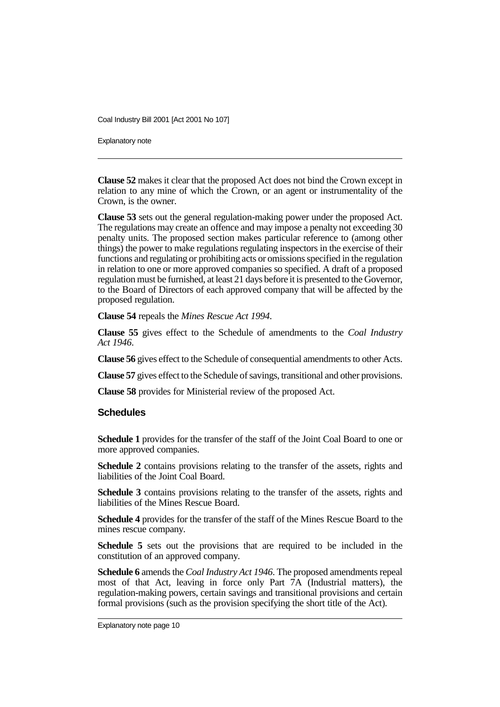Explanatory note

**Clause 52** makes it clear that the proposed Act does not bind the Crown except in relation to any mine of which the Crown, or an agent or instrumentality of the Crown, is the owner.

**Clause 53** sets out the general regulation-making power under the proposed Act. The regulations may create an offence and may impose a penalty not exceeding 30 penalty units. The proposed section makes particular reference to (among other things) the power to make regulations regulating inspectors in the exercise of their functions and regulating or prohibiting acts or omissions specified in the regulation in relation to one or more approved companies so specified. A draft of a proposed regulation must be furnished, at least 21 days before it is presented to the Governor, to the Board of Directors of each approved company that will be affected by the proposed regulation.

**Clause 54** repeals the *Mines Rescue Act 1994*.

**Clause 55** gives effect to the Schedule of amendments to the *Coal Industry Act 1946*.

**Clause 56** gives effect to the Schedule of consequential amendments to other Acts.

**Clause 57** gives effect to the Schedule of savings, transitional and other provisions.

**Clause 58** provides for Ministerial review of the proposed Act.

#### **Schedules**

**Schedule 1** provides for the transfer of the staff of the Joint Coal Board to one or more approved companies.

**Schedule 2** contains provisions relating to the transfer of the assets, rights and liabilities of the Joint Coal Board.

**Schedule 3** contains provisions relating to the transfer of the assets, rights and liabilities of the Mines Rescue Board.

**Schedule 4** provides for the transfer of the staff of the Mines Rescue Board to the mines rescue company.

**Schedule 5** sets out the provisions that are required to be included in the constitution of an approved company.

**Schedule 6** amends the *Coal Industry Act 1946*. The proposed amendments repeal most of that Act, leaving in force only Part  $7A$  (Industrial matters), the regulation-making powers, certain savings and transitional provisions and certain formal provisions (such as the provision specifying the short title of the Act).

Explanatory note page 10